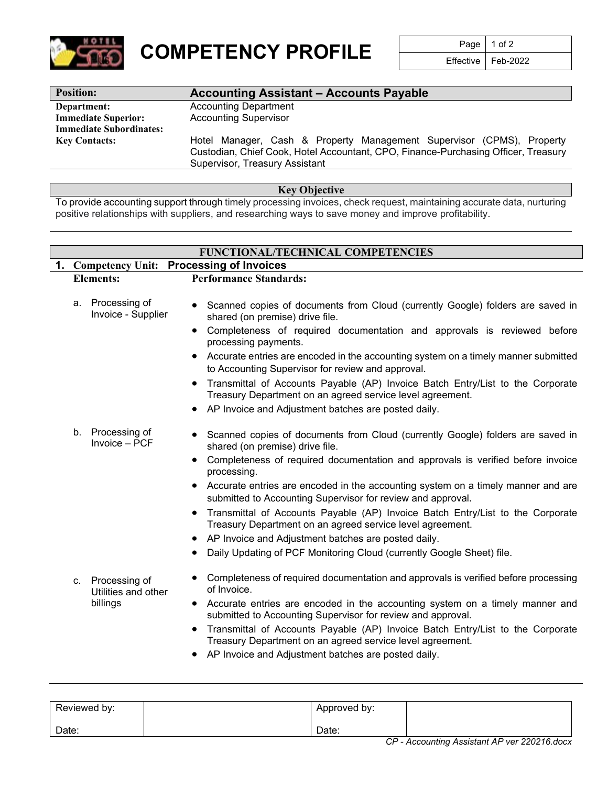

**COMPETENCY PROFILE** Page 1 of 2

Feb-2022

| <b>Position:</b>               | <b>Accounting Assistant - Accounts Payable</b>                                     |  |  |  |  |
|--------------------------------|------------------------------------------------------------------------------------|--|--|--|--|
| Department:                    | <b>Accounting Department</b>                                                       |  |  |  |  |
| <b>Immediate Superior:</b>     | <b>Accounting Supervisor</b>                                                       |  |  |  |  |
| <b>Immediate Subordinates:</b> |                                                                                    |  |  |  |  |
| <b>Key Contacts:</b>           | Hotel Manager, Cash & Property Management Supervisor (CPMS), Property              |  |  |  |  |
|                                | Custodian, Chief Cook, Hotel Accountant, CPO, Finance-Purchasing Officer, Treasury |  |  |  |  |
|                                | Supervisor, Treasury Assistant                                                     |  |  |  |  |

**Key Objective**

To provide accounting support through timely processing invoices, check request, maintaining accurate data, nurturing positive relationships with suppliers, and researching ways to save money and improve profitability.

|                  | FUNCTIONAL/TECHNICAL COMPETENCIES |                                        |                                                                                                                                                          |  |  |  |
|------------------|-----------------------------------|----------------------------------------|----------------------------------------------------------------------------------------------------------------------------------------------------------|--|--|--|
|                  |                                   |                                        | 1. Competency Unit: Processing of Invoices                                                                                                               |  |  |  |
| <b>Elements:</b> |                                   |                                        | <b>Performance Standards:</b>                                                                                                                            |  |  |  |
|                  |                                   | a. Processing of<br>Invoice - Supplier | Scanned copies of documents from Cloud (currently Google) folders are saved in<br>shared (on premise) drive file.                                        |  |  |  |
|                  |                                   |                                        | Completeness of required documentation and approvals is reviewed before<br>processing payments.                                                          |  |  |  |
|                  |                                   |                                        | • Accurate entries are encoded in the accounting system on a timely manner submitted<br>to Accounting Supervisor for review and approval.                |  |  |  |
|                  |                                   |                                        | Transmittal of Accounts Payable (AP) Invoice Batch Entry/List to the Corporate<br>Treasury Department on an agreed service level agreement.              |  |  |  |
|                  |                                   |                                        | AP Invoice and Adjustment batches are posted daily.                                                                                                      |  |  |  |
|                  | b.                                | Processing of<br>Invoice - PCF         | Scanned copies of documents from Cloud (currently Google) folders are saved in<br>shared (on premise) drive file.                                        |  |  |  |
|                  |                                   |                                        | Completeness of required documentation and approvals is verified before invoice<br>processing.                                                           |  |  |  |
|                  |                                   |                                        | Accurate entries are encoded in the accounting system on a timely manner and are<br>submitted to Accounting Supervisor for review and approval.          |  |  |  |
|                  |                                   |                                        | Transmittal of Accounts Payable (AP) Invoice Batch Entry/List to the Corporate<br>Treasury Department on an agreed service level agreement.              |  |  |  |
|                  |                                   |                                        | AP Invoice and Adjustment batches are posted daily.                                                                                                      |  |  |  |
|                  |                                   |                                        | Daily Updating of PCF Monitoring Cloud (currently Google Sheet) file.                                                                                    |  |  |  |
|                  | C.                                | Processing of<br>Utilities and other   | Completeness of required documentation and approvals is verified before processing<br>of Invoice.                                                        |  |  |  |
|                  |                                   | billings                               | • Accurate entries are encoded in the accounting system on a timely manner and<br>submitted to Accounting Supervisor for review and approval.            |  |  |  |
|                  |                                   |                                        | Transmittal of Accounts Payable (AP) Invoice Batch Entry/List to the Corporate<br>$\bullet$<br>Treasury Department on an agreed service level agreement. |  |  |  |
|                  |                                   |                                        | AP Invoice and Adjustment batches are posted daily.                                                                                                      |  |  |  |

| Reviewed by: | Approved by: |                                              |
|--------------|--------------|----------------------------------------------|
| Date:        | Date:        |                                              |
|              |              | CP - Accounting Assistant AP ver 220216.docx |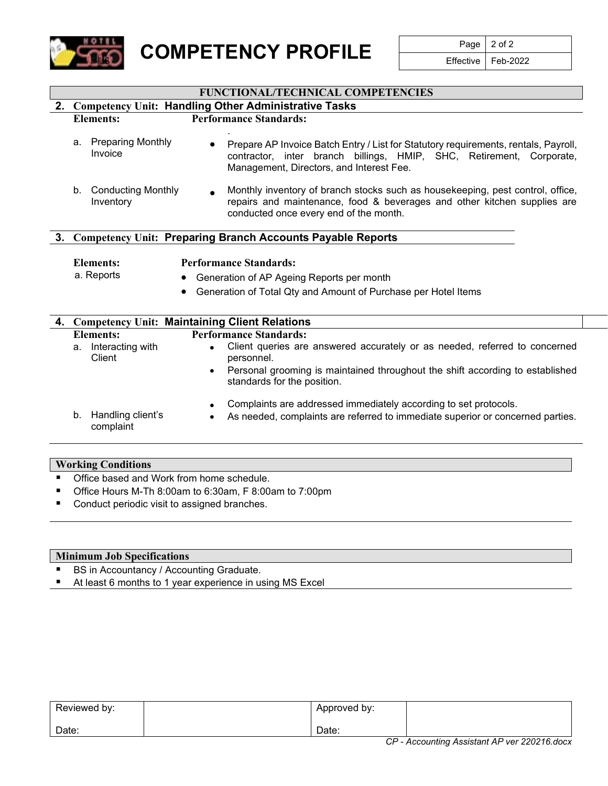

**COMPETENCY PROFILE** Page 2 of 2

Feb-2022

### **FUNCTIONAL/TECHNICAL COMPETENCIES**

### **2. Competency Unit: Handling Other Administrative Tasks Elements: Performance Standards:**

### a. Preparing Monthly Invoice . • Prepare AP Invoice Batch Entry / List for Statutory requirements, rentals, Payroll, contractor, inter branch billings, HMIP, SHC, Retirement, Corporate, Management, Directors, and Interest Fee.

b. Conducting Monthly Inventory • Monthly inventory of branch stocks such as housekeeping, pest control, office, repairs and maintenance, food & beverages and other kitchen supplies are conducted once every end of the month.

### **3. Competency Unit: Preparing Branch Accounts Payable Reports**

### **Elements: Performance Standards:**

- a. Reports Generation of AP Ageing Reports per month
	- Generation of Total Qty and Amount of Purchase per Hotel Items

|                                      | 4. Competency Unit: Maintaining Client Relations                                                                                                   |  |
|--------------------------------------|----------------------------------------------------------------------------------------------------------------------------------------------------|--|
| Elements:                            | <b>Performance Standards:</b>                                                                                                                      |  |
| a. Interacting with<br>Client        | Client queries are answered accurately or as needed, referred to concerned<br>$\bullet$<br>personnel.                                              |  |
|                                      | Personal grooming is maintained throughout the shift according to established<br>$\bullet$<br>standards for the position.                          |  |
| Handling client's<br>b.<br>complaint | Complaints are addressed immediately according to set protocols.<br>As needed, complaints are referred to immediate superior or concerned parties. |  |

# **Working Conditions**

- Office based and Work from home schedule.
- Office Hours M-Th 8:00am to 6:30am, F 8:00am to 7:00pm
- Conduct periodic visit to assigned branches.

### **Minimum Job Specifications**

- BS in Accountancy / Accounting Graduate.
- At least 6 months to 1 year experience in using MS Excel

| Reviewed by: |       | Approved by: |   |          |
|--------------|-------|--------------|---|----------|
| Date:        | Date: | $-$          | . | $\cdots$ |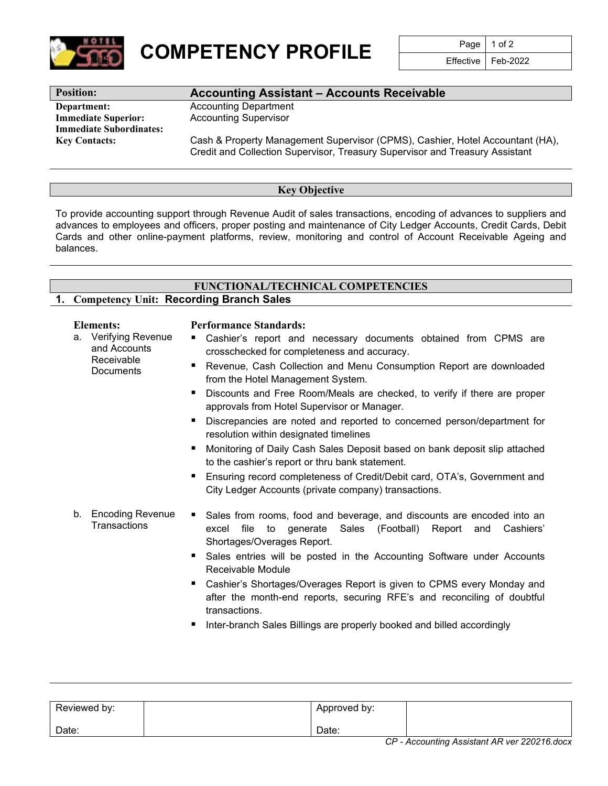

**COMPETENCY PROFILE** Page 1 of 2<br>Effective Feb-2022

Effective

## **Position: Accounting Assistant – Accounts Receivable**

**Department:** Accounting Department **Immediate Superior:** Accounting Supervisor **Immediate Subordinates:**

**Key Contacts:** Cash & Property Management Supervisor (CPMS), Cashier, Hotel Accountant (HA), Credit and Collection Supervisor, Treasury Supervisor and Treasury Assistant

### **Key Objective**

To provide accounting support through Revenue Audit of sales transactions, encoding of advances to suppliers and advances to employees and officers, proper posting and maintenance of City Ledger Accounts, Credit Cards, Debit Cards and other online-payment platforms, review, monitoring and control of Account Receivable Ageing and balances.

### **FUNCTIONAL/TECHNICAL COMPETENCIES 1. Competency Unit: Recording Branch Sales**

a. Verifying Revenue and Accounts Receivable **Documents** 

### **Elements: Performance Standards:**

- Cashier's report and necessary documents obtained from CPMS are crosschecked for completeness and accuracy.
- Revenue, Cash Collection and Menu Consumption Report are downloaded from the Hotel Management System.
- Discounts and Free Room/Meals are checked, to verify if there are proper approvals from Hotel Supervisor or Manager.
- Discrepancies are noted and reported to concerned person/department for resolution within designated timelines
- Monitoring of Daily Cash Sales Deposit based on bank deposit slip attached to the cashier's report or thru bank statement.
- Ensuring record completeness of Credit/Debit card, OTA's, Government and City Ledger Accounts (private company) transactions.
- b. Encoding Revenue **Transactions** ■ Sales from rooms, food and beverage, and discounts are encoded into an excel file to generate Sales (Football) Report and Cashiers' Shortages/Overages Report.
	- Sales entries will be posted in the Accounting Software under Accounts Receivable Module
	- Cashier's Shortages/Overages Report is given to CPMS every Monday and after the month-end reports, securing RFE's and reconciling of doubtful transactions.
	- Inter-branch Sales Billings are properly booked and billed accordingly

| Reviewed by: | Approved by: |                                            |
|--------------|--------------|--------------------------------------------|
| Date:        | Date:        |                                            |
|              |              | CD Accounting Assistant AD ver 220216 does |